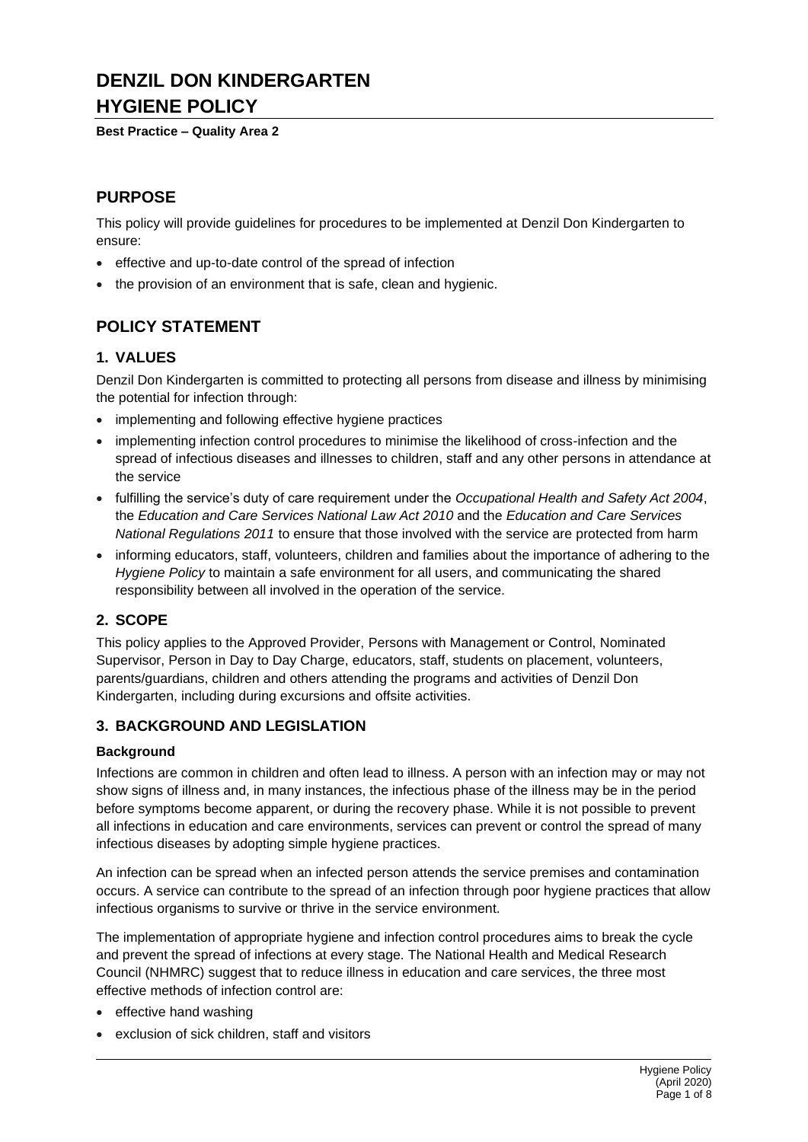# **DENZIL DON KINDERGARTEN HYGIENE POLICY**

### **Best Practice – Quality Area 2**

## **PURPOSE**

This policy will provide guidelines for procedures to be implemented at Denzil Don Kindergarten to ensure:

- effective and up-to-date control of the spread of infection
- the provision of an environment that is safe, clean and hygienic.

## **POLICY STATEMENT**

## **1. VALUES**

Denzil Don Kindergarten is committed to protecting all persons from disease and illness by minimising the potential for infection through:

- implementing and following effective hygiene practices
- implementing infection control procedures to minimise the likelihood of cross-infection and the spread of infectious diseases and illnesses to children, staff and any other persons in attendance at the service
- fulfilling the service's duty of care requirement under the *Occupational Health and Safety Act 2004*, the *Education and Care Services National Law Act 2010* and the *Education and Care Services National Regulations 2011* to ensure that those involved with the service are protected from harm
- informing educators, staff, volunteers, children and families about the importance of adhering to the *Hygiene Policy* to maintain a safe environment for all users, and communicating the shared responsibility between all involved in the operation of the service.

## **2. SCOPE**

This policy applies to the Approved Provider, Persons with Management or Control, Nominated Supervisor, Person in Day to Day Charge, educators, staff, students on placement, volunteers, parents/guardians, children and others attending the programs and activities of Denzil Don Kindergarten, including during excursions and offsite activities.

## **3. BACKGROUND AND LEGISLATION**

## **Background**

Infections are common in children and often lead to illness. A person with an infection may or may not show signs of illness and, in many instances, the infectious phase of the illness may be in the period before symptoms become apparent, or during the recovery phase. While it is not possible to prevent all infections in education and care environments, services can prevent or control the spread of many infectious diseases by adopting simple hygiene practices.

An infection can be spread when an infected person attends the service premises and contamination occurs. A service can contribute to the spread of an infection through poor hygiene practices that allow infectious organisms to survive or thrive in the service environment.

The implementation of appropriate hygiene and infection control procedures aims to break the cycle and prevent the spread of infections at every stage. The National Health and Medical Research Council (NHMRC) suggest that to reduce illness in education and care services, the three most effective methods of infection control are:

- effective hand washing
- exclusion of sick children, staff and visitors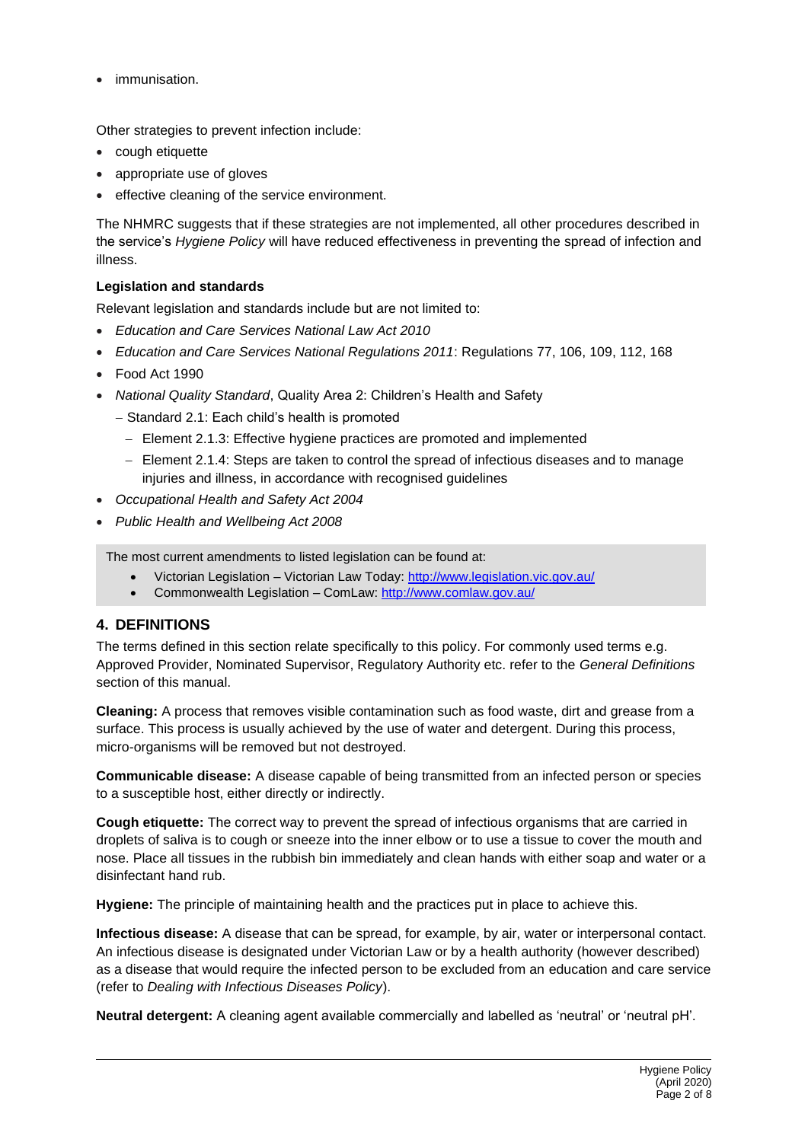immunisation.

Other strategies to prevent infection include:

- cough etiquette
- appropriate use of gloves
- effective cleaning of the service environment.

The NHMRC suggests that if these strategies are not implemented, all other procedures described in the service's *Hygiene Policy* will have reduced effectiveness in preventing the spread of infection and illness.

#### **Legislation and standards**

Relevant legislation and standards include but are not limited to:

- *Education and Care Services National Law Act 2010*
- *Education and Care Services National Regulations 2011*: Regulations 77, 106, 109, 112, 168
- Food Act 1990
- *National Quality Standard*, Quality Area 2: Children's Health and Safety
	- − Standard 2.1: Each child's health is promoted
		- − Element 2.1.3: Effective hygiene practices are promoted and implemented
		- − Element 2.1.4: Steps are taken to control the spread of infectious diseases and to manage injuries and illness, in accordance with recognised guidelines
- *Occupational Health and Safety Act 2004*
- *Public Health and Wellbeing Act 2008*

The most current amendments to listed legislation can be found at:

- Victorian Legislation Victorian Law Today:<http://www.legislation.vic.gov.au/>
- Commonwealth Legislation ComLaw:<http://www.comlaw.gov.au/>

## **4. DEFINITIONS**

The terms defined in this section relate specifically to this policy. For commonly used terms e.g. Approved Provider, Nominated Supervisor, Regulatory Authority etc. refer to the *General Definitions* section of this manual.

**Cleaning:** A process that removes visible contamination such as food waste, dirt and grease from a surface. This process is usually achieved by the use of water and detergent. During this process, micro-organisms will be removed but not destroyed.

**Communicable disease:** A disease capable of being transmitted from an infected person or species to a susceptible host, either directly or indirectly.

**Cough etiquette:** The correct way to prevent the spread of infectious organisms that are carried in droplets of saliva is to cough or sneeze into the inner elbow or to use a tissue to cover the mouth and nose. Place all tissues in the rubbish bin immediately and clean hands with either soap and water or a disinfectant hand rub.

**Hygiene:** The principle of maintaining health and the practices put in place to achieve this.

**Infectious disease:** A disease that can be spread, for example, by air, water or interpersonal contact. An infectious disease is designated under Victorian Law or by a health authority (however described) as a disease that would require the infected person to be excluded from an education and care service (refer to *Dealing with Infectious Diseases Policy*).

**Neutral detergent:** A cleaning agent available commercially and labelled as 'neutral' or 'neutral pH'.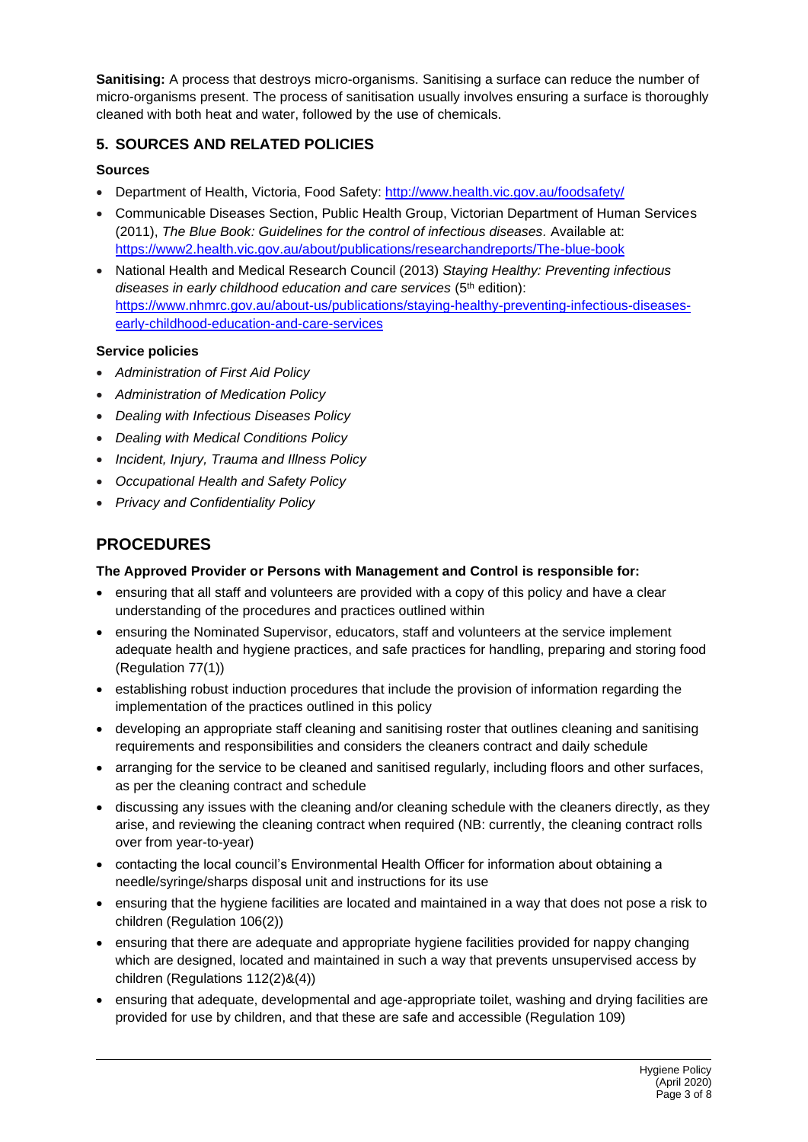**Sanitising:** A process that destroys micro-organisms. Sanitising a surface can reduce the number of micro-organisms present. The process of sanitisation usually involves ensuring a surface is thoroughly cleaned with both heat and water, followed by the use of chemicals.

## **5. SOURCES AND RELATED POLICIES**

## **Sources**

- Department of Health, Victoria, Food Safety:<http://www.health.vic.gov.au/foodsafety/>
- Communicable Diseases Section, Public Health Group, Victorian Department of Human Services (2011), *The Blue Book: Guidelines for the control of infectious diseases.* Available at: <https://www2.health.vic.gov.au/about/publications/researchandreports/The-blue-book>
- National Health and Medical Research Council (2013) *Staying Healthy: Preventing infectious diseases in early childhood education and care services* (5th edition): [https://www.nhmrc.gov.au/about-us/publications/staying-healthy-preventing-infectious-diseases](https://www.nhmrc.gov.au/about-us/publications/staying-healthy-preventing-infectious-diseases-early-childhood-education-and-care-services)[early-childhood-education-and-care-services](https://www.nhmrc.gov.au/about-us/publications/staying-healthy-preventing-infectious-diseases-early-childhood-education-and-care-services)

## **Service policies**

- *Administration of First Aid Policy*
- *Administration of Medication Policy*
- *Dealing with Infectious Diseases Policy*
- *Dealing with Medical Conditions Policy*
- *Incident, Injury, Trauma and Illness Policy*
- *Occupational Health and Safety Policy*
- *Privacy and Confidentiality Policy*

## **PROCEDURES**

## **The Approved Provider or Persons with Management and Control is responsible for:**

- ensuring that all staff and volunteers are provided with a copy of this policy and have a clear understanding of the procedures and practices outlined within
- ensuring the Nominated Supervisor, educators, staff and volunteers at the service implement adequate health and hygiene practices, and safe practices for handling, preparing and storing food (Regulation 77(1))
- establishing robust induction procedures that include the provision of information regarding the implementation of the practices outlined in this policy
- developing an appropriate staff cleaning and sanitising roster that outlines cleaning and sanitising requirements and responsibilities and considers the cleaners contract and daily schedule
- arranging for the service to be cleaned and sanitised regularly, including floors and other surfaces, as per the cleaning contract and schedule
- discussing any issues with the cleaning and/or cleaning schedule with the cleaners directly, as they arise, and reviewing the cleaning contract when required (NB: currently, the cleaning contract rolls over from year-to-year)
- contacting the local council's Environmental Health Officer for information about obtaining a needle/syringe/sharps disposal unit and instructions for its use
- ensuring that the hygiene facilities are located and maintained in a way that does not pose a risk to children (Regulation 106(2))
- ensuring that there are adequate and appropriate hygiene facilities provided for nappy changing which are designed, located and maintained in such a way that prevents unsupervised access by children (Regulations 112(2)&(4))
- ensuring that adequate, developmental and age-appropriate toilet, washing and drying facilities are provided for use by children, and that these are safe and accessible (Regulation 109)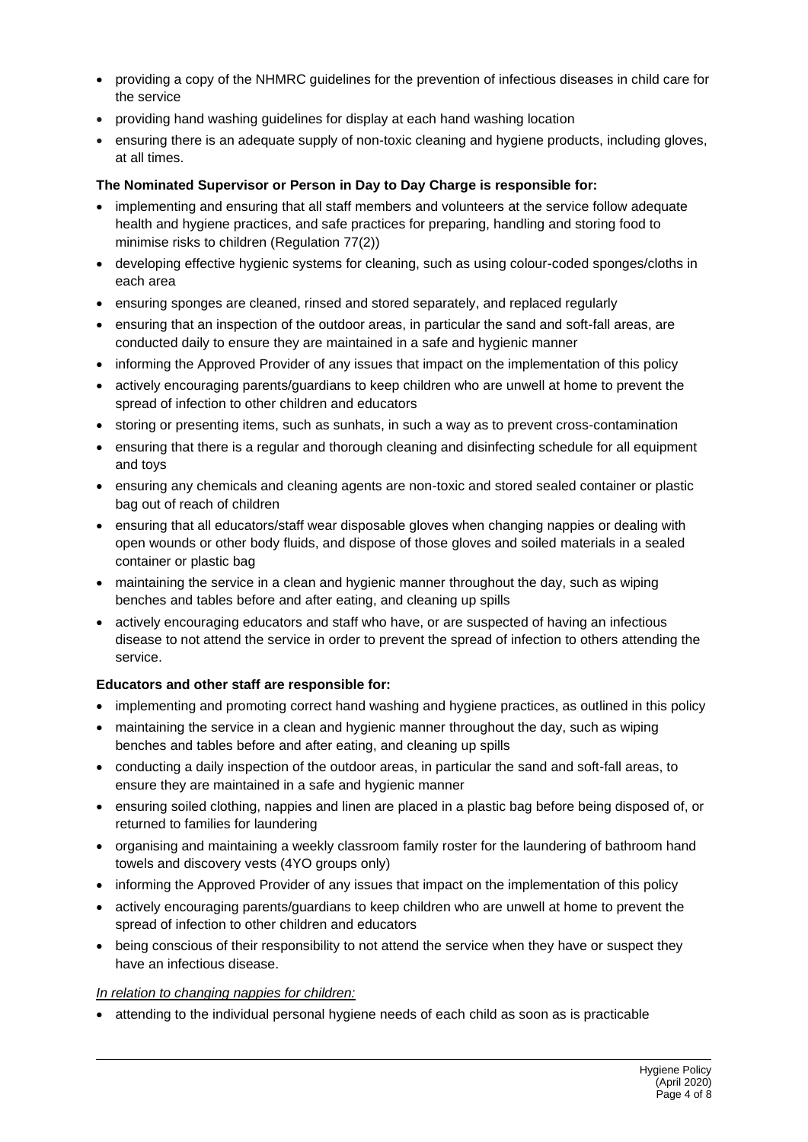- providing a copy of the NHMRC guidelines for the prevention of infectious diseases in child care for the service
- providing hand washing guidelines for display at each hand washing location
- ensuring there is an adequate supply of non-toxic cleaning and hygiene products, including gloves, at all times.

#### **The Nominated Supervisor or Person in Day to Day Charge is responsible for:**

- implementing and ensuring that all staff members and volunteers at the service follow adequate health and hygiene practices, and safe practices for preparing, handling and storing food to minimise risks to children (Regulation 77(2))
- developing effective hygienic systems for cleaning, such as using colour-coded sponges/cloths in each area
- ensuring sponges are cleaned, rinsed and stored separately, and replaced regularly
- ensuring that an inspection of the outdoor areas, in particular the sand and soft-fall areas, are conducted daily to ensure they are maintained in a safe and hygienic manner
- informing the Approved Provider of any issues that impact on the implementation of this policy
- actively encouraging parents/guardians to keep children who are unwell at home to prevent the spread of infection to other children and educators
- storing or presenting items, such as sunhats, in such a way as to prevent cross-contamination
- ensuring that there is a regular and thorough cleaning and disinfecting schedule for all equipment and toys
- ensuring any chemicals and cleaning agents are non-toxic and stored sealed container or plastic bag out of reach of children
- ensuring that all educators/staff wear disposable gloves when changing nappies or dealing with open wounds or other body fluids, and dispose of those gloves and soiled materials in a sealed container or plastic bag
- maintaining the service in a clean and hygienic manner throughout the day, such as wiping benches and tables before and after eating, and cleaning up spills
- actively encouraging educators and staff who have, or are suspected of having an infectious disease to not attend the service in order to prevent the spread of infection to others attending the service.

#### **Educators and other staff are responsible for:**

- implementing and promoting correct hand washing and hygiene practices, as outlined in this policy
- maintaining the service in a clean and hygienic manner throughout the day, such as wiping benches and tables before and after eating, and cleaning up spills
- conducting a daily inspection of the outdoor areas, in particular the sand and soft-fall areas, to ensure they are maintained in a safe and hygienic manner
- ensuring soiled clothing, nappies and linen are placed in a plastic bag before being disposed of, or returned to families for laundering
- organising and maintaining a weekly classroom family roster for the laundering of bathroom hand towels and discovery vests (4YO groups only)
- informing the Approved Provider of any issues that impact on the implementation of this policy
- actively encouraging parents/guardians to keep children who are unwell at home to prevent the spread of infection to other children and educators
- being conscious of their responsibility to not attend the service when they have or suspect they have an infectious disease.

#### *In relation to changing nappies for children:*

• attending to the individual personal hygiene needs of each child as soon as is practicable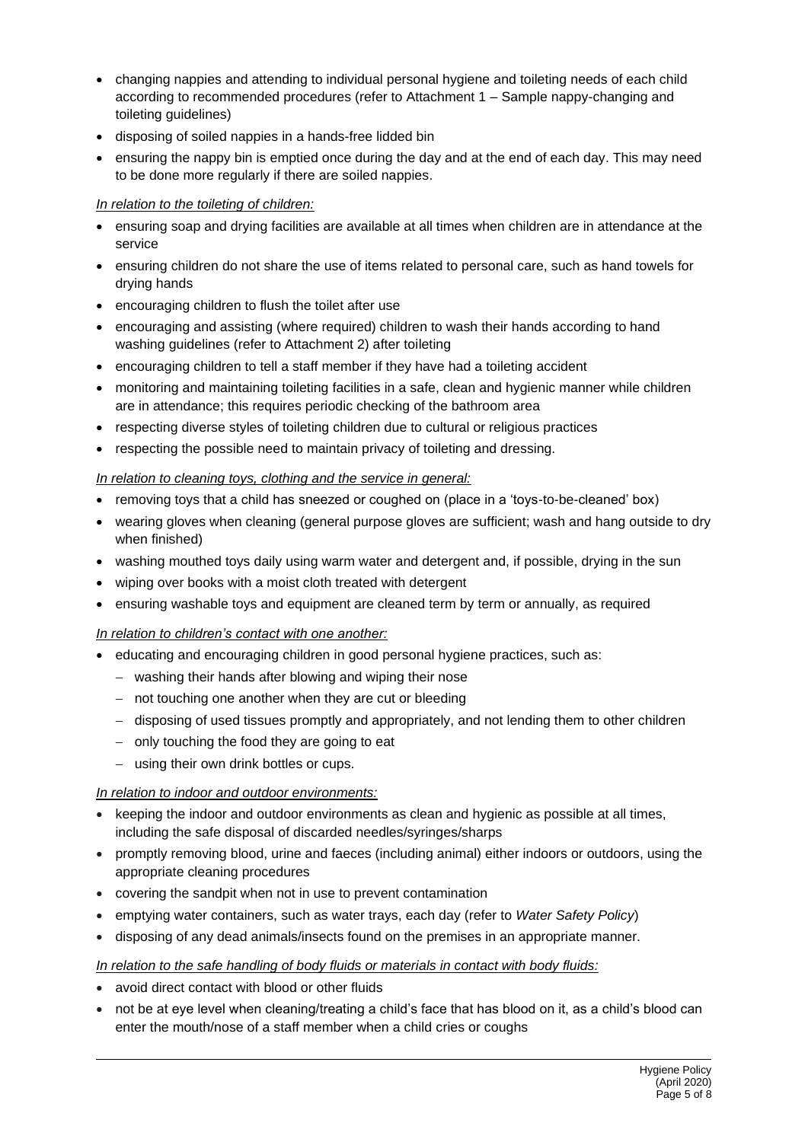- changing nappies and attending to individual personal hygiene and toileting needs of each child according to recommended procedures (refer to Attachment 1 – Sample nappy-changing and toileting guidelines)
- disposing of soiled nappies in a hands-free lidded bin
- ensuring the nappy bin is emptied once during the day and at the end of each day. This may need to be done more regularly if there are soiled nappies.

## *In relation to the toileting of children:*

- ensuring soap and drying facilities are available at all times when children are in attendance at the service
- ensuring children do not share the use of items related to personal care, such as hand towels for drying hands
- encouraging children to flush the toilet after use
- encouraging and assisting (where required) children to wash their hands according to hand washing guidelines (refer to Attachment 2) after toileting
- encouraging children to tell a staff member if they have had a toileting accident
- monitoring and maintaining toileting facilities in a safe, clean and hygienic manner while children are in attendance; this requires periodic checking of the bathroom area
- respecting diverse styles of toileting children due to cultural or religious practices
- respecting the possible need to maintain privacy of toileting and dressing.

## *In relation to cleaning toys, clothing and the service in general:*

- removing toys that a child has sneezed or coughed on (place in a 'toys-to-be-cleaned' box)
- wearing gloves when cleaning (general purpose gloves are sufficient; wash and hang outside to dry when finished)
- washing mouthed toys daily using warm water and detergent and, if possible, drying in the sun
- wiping over books with a moist cloth treated with detergent
- ensuring washable toys and equipment are cleaned term by term or annually, as required

## *In relation to children's contact with one another:*

- educating and encouraging children in good personal hygiene practices, such as:
	- − washing their hands after blowing and wiping their nose
	- − not touching one another when they are cut or bleeding
	- − disposing of used tissues promptly and appropriately, and not lending them to other children
	- − only touching the food they are going to eat
	- − using their own drink bottles or cups.

## *In relation to indoor and outdoor environments:*

- keeping the indoor and outdoor environments as clean and hygienic as possible at all times, including the safe disposal of discarded needles/syringes/sharps
- promptly removing blood, urine and faeces (including animal) either indoors or outdoors, using the appropriate cleaning procedures
- covering the sandpit when not in use to prevent contamination
- emptying water containers, such as water trays, each day (refer to *Water Safety Policy*)
- disposing of any dead animals/insects found on the premises in an appropriate manner.

## *In relation to the safe handling of body fluids or materials in contact with body fluids:*

- avoid direct contact with blood or other fluids
- not be at eye level when cleaning/treating a child's face that has blood on it, as a child's blood can enter the mouth/nose of a staff member when a child cries or coughs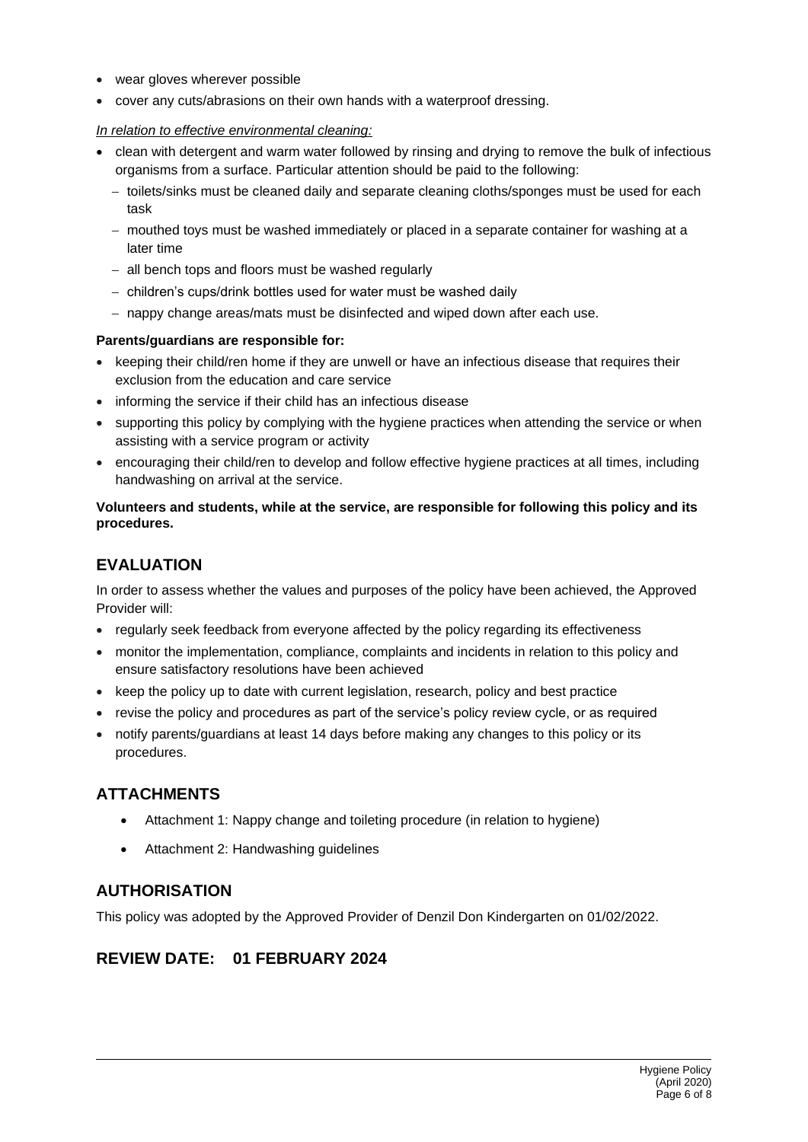- wear gloves wherever possible
- cover any cuts/abrasions on their own hands with a waterproof dressing.

#### *In relation to effective environmental cleaning:*

- clean with detergent and warm water followed by rinsing and drying to remove the bulk of infectious organisms from a surface. Particular attention should be paid to the following:
	- − toilets/sinks must be cleaned daily and separate cleaning cloths/sponges must be used for each task
	- − mouthed toys must be washed immediately or placed in a separate container for washing at a later time
	- − all bench tops and floors must be washed regularly
	- − children's cups/drink bottles used for water must be washed daily
	- − nappy change areas/mats must be disinfected and wiped down after each use.

#### **Parents/guardians are responsible for:**

- keeping their child/ren home if they are unwell or have an infectious disease that requires their exclusion from the education and care service
- informing the service if their child has an infectious disease
- supporting this policy by complying with the hygiene practices when attending the service or when assisting with a service program or activity
- encouraging their child/ren to develop and follow effective hygiene practices at all times, including handwashing on arrival at the service.

### **Volunteers and students, while at the service, are responsible for following this policy and its procedures.**

## **EVALUATION**

In order to assess whether the values and purposes of the policy have been achieved, the Approved Provider will:

- regularly seek feedback from everyone affected by the policy regarding its effectiveness
- monitor the implementation, compliance, complaints and incidents in relation to this policy and ensure satisfactory resolutions have been achieved
- keep the policy up to date with current legislation, research, policy and best practice
- revise the policy and procedures as part of the service's policy review cycle, or as required
- notify parents/guardians at least 14 days before making any changes to this policy or its procedures.

## **ATTACHMENTS**

- Attachment 1: Nappy change and toileting procedure (in relation to hygiene)
- Attachment 2: Handwashing guidelines

## **AUTHORISATION**

This policy was adopted by the Approved Provider of Denzil Don Kindergarten on 01/02/2022.

## **REVIEW DATE: 01 FEBRUARY 2024**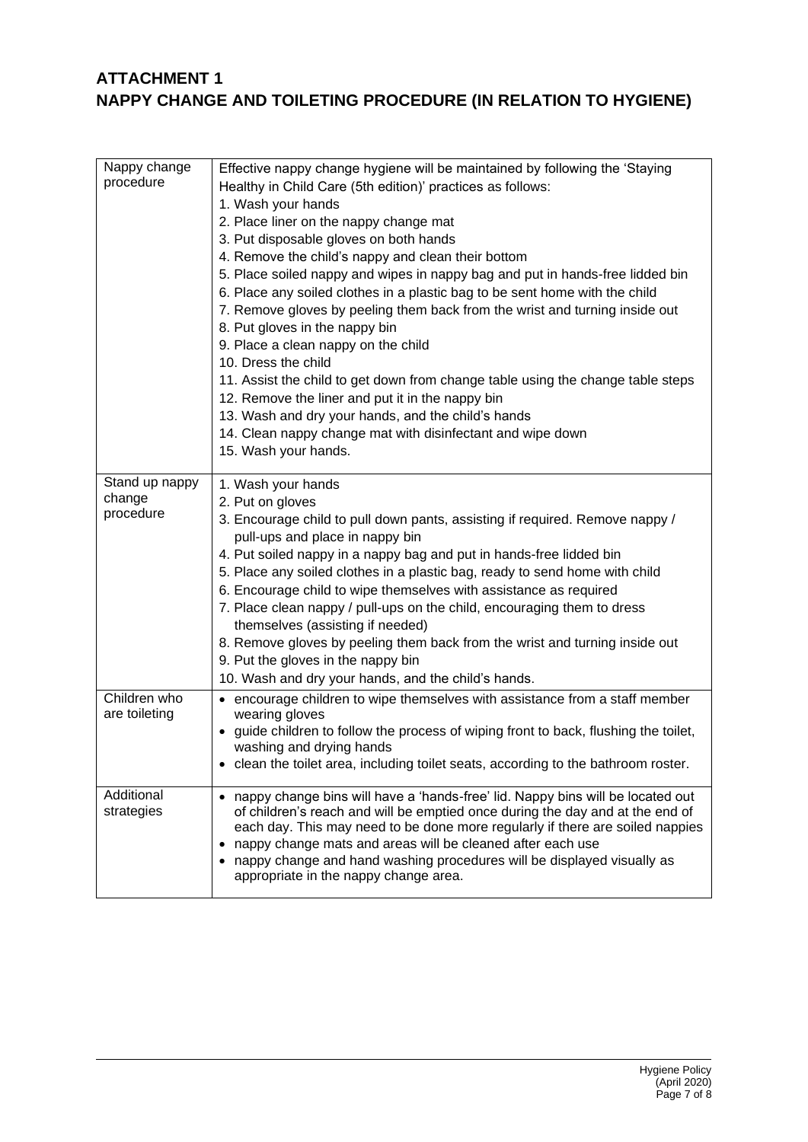## **ATTACHMENT 1 NAPPY CHANGE AND TOILETING PROCEDURE (IN RELATION TO HYGIENE)**

| Nappy change<br>procedure             | Effective nappy change hygiene will be maintained by following the 'Staying<br>Healthy in Child Care (5th edition)' practices as follows:<br>1. Wash your hands<br>2. Place liner on the nappy change mat<br>3. Put disposable gloves on both hands<br>4. Remove the child's nappy and clean their bottom<br>5. Place soiled nappy and wipes in nappy bag and put in hands-free lidded bin<br>6. Place any soiled clothes in a plastic bag to be sent home with the child<br>7. Remove gloves by peeling them back from the wrist and turning inside out<br>8. Put gloves in the nappy bin<br>9. Place a clean nappy on the child<br>10. Dress the child<br>11. Assist the child to get down from change table using the change table steps<br>12. Remove the liner and put it in the nappy bin<br>13. Wash and dry your hands, and the child's hands<br>14. Clean nappy change mat with disinfectant and wipe down<br>15. Wash your hands. |
|---------------------------------------|---------------------------------------------------------------------------------------------------------------------------------------------------------------------------------------------------------------------------------------------------------------------------------------------------------------------------------------------------------------------------------------------------------------------------------------------------------------------------------------------------------------------------------------------------------------------------------------------------------------------------------------------------------------------------------------------------------------------------------------------------------------------------------------------------------------------------------------------------------------------------------------------------------------------------------------------|
| Stand up nappy<br>change<br>procedure | 1. Wash your hands<br>2. Put on gloves<br>3. Encourage child to pull down pants, assisting if required. Remove nappy /<br>pull-ups and place in nappy bin<br>4. Put soiled nappy in a nappy bag and put in hands-free lidded bin<br>5. Place any soiled clothes in a plastic bag, ready to send home with child<br>6. Encourage child to wipe themselves with assistance as required<br>7. Place clean nappy / pull-ups on the child, encouraging them to dress<br>themselves (assisting if needed)<br>8. Remove gloves by peeling them back from the wrist and turning inside out<br>9. Put the gloves in the nappy bin<br>10. Wash and dry your hands, and the child's hands.                                                                                                                                                                                                                                                             |
| Children who<br>are toileting         | • encourage children to wipe themselves with assistance from a staff member<br>wearing gloves<br>• guide children to follow the process of wiping front to back, flushing the toilet,<br>washing and drying hands<br>clean the toilet area, including toilet seats, according to the bathroom roster.                                                                                                                                                                                                                                                                                                                                                                                                                                                                                                                                                                                                                                       |
| Additional<br>strategies              | nappy change bins will have a 'hands-free' lid. Nappy bins will be located out<br>$\bullet$<br>of children's reach and will be emptied once during the day and at the end of<br>each day. This may need to be done more regularly if there are soiled nappies<br>nappy change mats and areas will be cleaned after each use<br>• nappy change and hand washing procedures will be displayed visually as<br>appropriate in the nappy change area.                                                                                                                                                                                                                                                                                                                                                                                                                                                                                            |